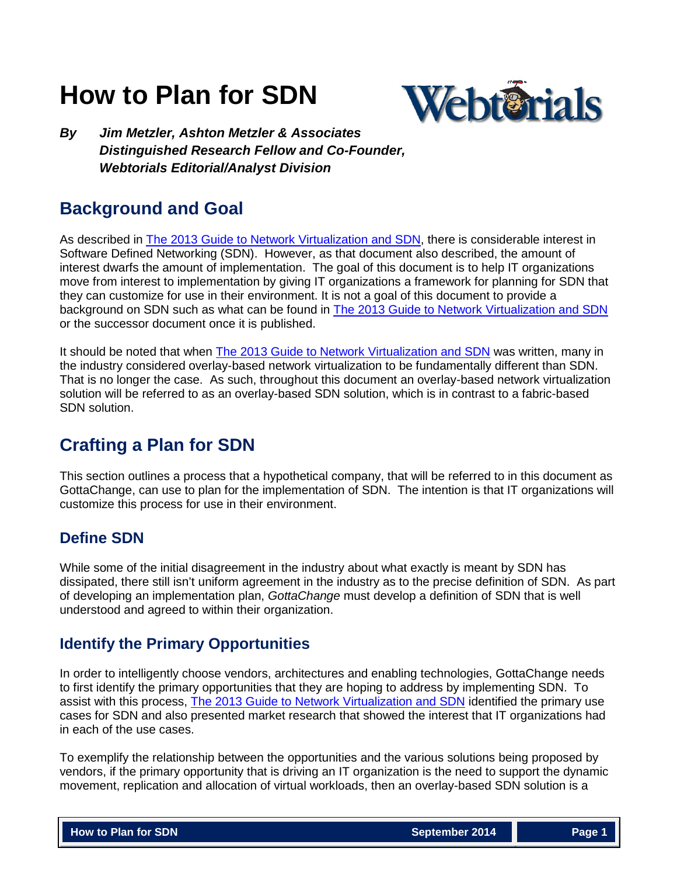# **How to Plan for SDN**



*By Jim Metzler, Ashton Metzler & Associates Distinguished Research Fellow and Co-Founder, Webtorials Editorial/Analyst Division*

# **Background and Goal**

As described in [The 2013 Guide to Network Virtualization and SDN,](http://www.webtorials.com/content/2014/01/2013-guide-to-network-virtualization-sdn-3.html) there is considerable interest in Software Defined Networking (SDN). However, as that document also described, the amount of interest dwarfs the amount of implementation. The goal of this document is to help IT organizations move from interest to implementation by giving IT organizations a framework for planning for SDN that they can customize for use in their environment. It is not a goal of this document to provide a background on SDN such as what can be found in [The 2013 Guide to Network Virtualization and SDN](http://www.webtorials.com/content/2014/01/2013-guide-to-network-virtualization-sdn-3.html) or the successor document once it is published.

It should be noted that when **The 2013 Guide to Network Virtualization and SDN** was written, many in the industry considered overlay-based network virtualization to be fundamentally different than SDN. That is no longer the case. As such, throughout this document an overlay-based network virtualization solution will be referred to as an overlay-based SDN solution, which is in contrast to a fabric-based SDN solution.

# **Crafting a Plan for SDN**

This section outlines a process that a hypothetical company, that will be referred to in this document as GottaChange, can use to plan for the implementation of SDN. The intention is that IT organizations will customize this process for use in their environment.

# **Define SDN**

While some of the initial disagreement in the industry about what exactly is meant by SDN has dissipated, there still isn't uniform agreement in the industry as to the precise definition of SDN. As part of developing an implementation plan, *GottaChange* must develop a definition of SDN that is well understood and agreed to within their organization.

# **Identify the Primary Opportunities**

In order to intelligently choose vendors, architectures and enabling technologies, GottaChange needs to first identify the primary opportunities that they are hoping to address by implementing SDN. To assist with this process, [The 2013 Guide to Network Virtualization and SDN](http://www.webtorials.com/content/2014/01/2013-guide-to-network-virtualization-sdn-3.html) identified the primary use cases for SDN and also presented market research that showed the interest that IT organizations had in each of the use cases.

To exemplify the relationship between the opportunities and the various solutions being proposed by vendors, if the primary opportunity that is driving an IT organization is the need to support the dynamic movement, replication and allocation of virtual workloads, then an overlay-based SDN solution is a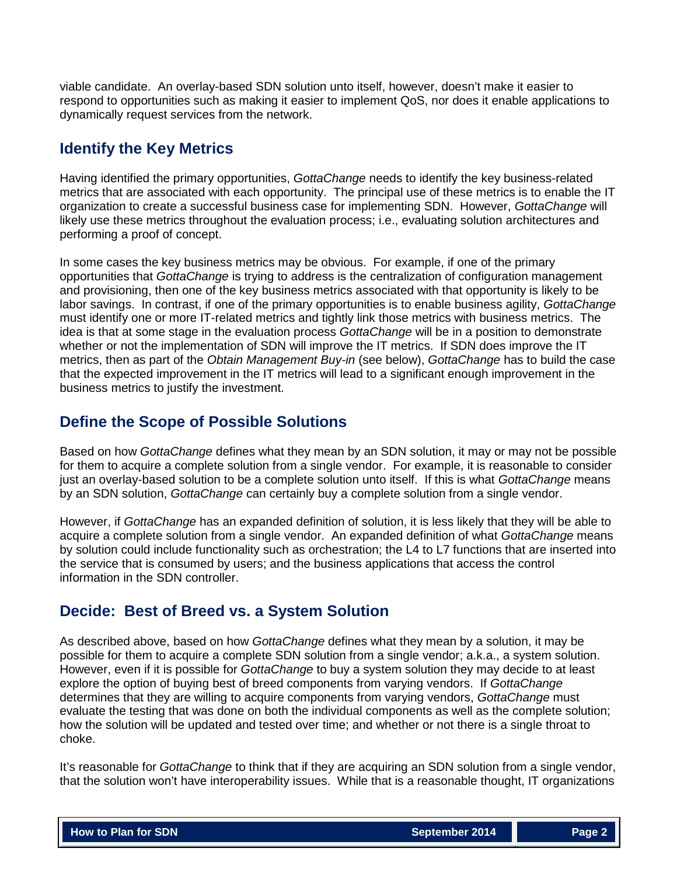viable candidate. An overlay-based SDN solution unto itself, however, doesn't make it easier to respond to opportunities such as making it easier to implement QoS, nor does it enable applications to dynamically request services from the network.

### **Identify the Key Metrics**

Having identified the primary opportunities, *GottaChange* needs to identify the key business-related metrics that are associated with each opportunity. The principal use of these metrics is to enable the IT organization to create a successful business case for implementing SDN. However, *GottaChange* will likely use these metrics throughout the evaluation process; i.e., evaluating solution architectures and performing a proof of concept.

In some cases the key business metrics may be obvious. For example, if one of the primary opportunities that *GottaChange* is trying to address is the centralization of configuration management and provisioning, then one of the key business metrics associated with that opportunity is likely to be labor savings. In contrast, if one of the primary opportunities is to enable business agility, *GottaChange* must identify one or more IT-related metrics and tightly link those metrics with business metrics. The idea is that at some stage in the evaluation process *GottaChange* will be in a position to demonstrate whether or not the implementation of SDN will improve the IT metrics. If SDN does improve the IT metrics, then as part of the *Obtain Management Buy-in* (see below), *GottaChange* has to build the case that the expected improvement in the IT metrics will lead to a significant enough improvement in the business metrics to justify the investment.

### **Define the Scope of Possible Solutions**

Based on how *GottaChange* defines what they mean by an SDN solution, it may or may not be possible for them to acquire a complete solution from a single vendor. For example, it is reasonable to consider just an overlay-based solution to be a complete solution unto itself. If this is what *GottaChange* means by an SDN solution, *GottaChange* can certainly buy a complete solution from a single vendor.

However, if *GottaChange* has an expanded definition of solution, it is less likely that they will be able to acquire a complete solution from a single vendor. An expanded definition of what *GottaChange* means by solution could include functionality such as orchestration; the L4 to L7 functions that are inserted into the service that is consumed by users; and the business applications that access the control information in the SDN controller.

# **Decide: Best of Breed vs. a System Solution**

As described above, based on how *GottaChange* defines what they mean by a solution, it may be possible for them to acquire a complete SDN solution from a single vendor; a.k.a., a system solution. However, even if it is possible for *GottaChange* to buy a system solution they may decide to at least explore the option of buying best of breed components from varying vendors. If *GottaChange* determines that they are willing to acquire components from varying vendors, *GottaChange* must evaluate the testing that was done on both the individual components as well as the complete solution; how the solution will be updated and tested over time; and whether or not there is a single throat to choke.

It's reasonable for *GottaChange* to think that if they are acquiring an SDN solution from a single vendor, that the solution won't have interoperability issues. While that is a reasonable thought, IT organizations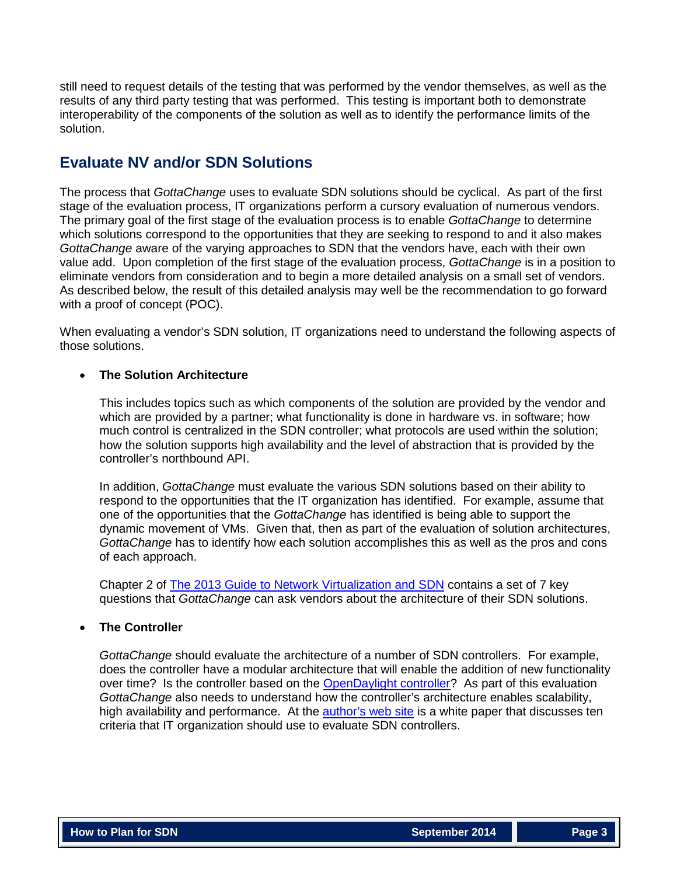still need to request details of the testing that was performed by the vendor themselves, as well as the results of any third party testing that was performed. This testing is important both to demonstrate interoperability of the components of the solution as well as to identify the performance limits of the solution.

### **Evaluate NV and/or SDN Solutions**

The process that *GottaChange* uses to evaluate SDN solutions should be cyclical. As part of the first stage of the evaluation process, IT organizations perform a cursory evaluation of numerous vendors. The primary goal of the first stage of the evaluation process is to enable *GottaChange* to determine which solutions correspond to the opportunities that they are seeking to respond to and it also makes *GottaChange* aware of the varying approaches to SDN that the vendors have, each with their own value add. Upon completion of the first stage of the evaluation process, *GottaChange* is in a position to eliminate vendors from consideration and to begin a more detailed analysis on a small set of vendors. As described below, the result of this detailed analysis may well be the recommendation to go forward with a proof of concept (POC).

When evaluating a vendor's SDN solution, IT organizations need to understand the following aspects of those solutions.

#### • **The Solution Architecture**

This includes topics such as which components of the solution are provided by the vendor and which are provided by a partner; what functionality is done in hardware vs. in software; how much control is centralized in the SDN controller; what protocols are used within the solution; how the solution supports high availability and the level of abstraction that is provided by the controller's northbound API.

In addition, *GottaChange* must evaluate the various SDN solutions based on their ability to respond to the opportunities that the IT organization has identified. For example, assume that one of the opportunities that the *GottaChange* has identified is being able to support the dynamic movement of VMs. Given that, then as part of the evaluation of solution architectures, *GottaChange* has to identify how each solution accomplishes this as well as the pros and cons of each approach.

Chapter 2 of [The 2013 Guide to Network](http://www.webtorials.com/content/2014/01/2013-guide-to-network-virtualization-sdn-3.html) Virtualization and SDN contains a set of 7 key questions that *GottaChange* can ask vendors about the architecture of their SDN solutions.

#### • **The Controller**

*GottaChange* should evaluate the architecture of a number of SDN controllers. For example, does the controller have a modular architecture that will enable the addition of new functionality over time? Is the controller based on the [OpenDaylight controller?](http://www.opendaylight.org/) As part of this evaluation *GottaChange* also needs to understand how the controller's architecture enables scalability, high availability and performance. At the [author's web site](http://www.ashtonmetzler.com/) is a white paper that discusses ten criteria that IT organization should use to evaluate SDN controllers.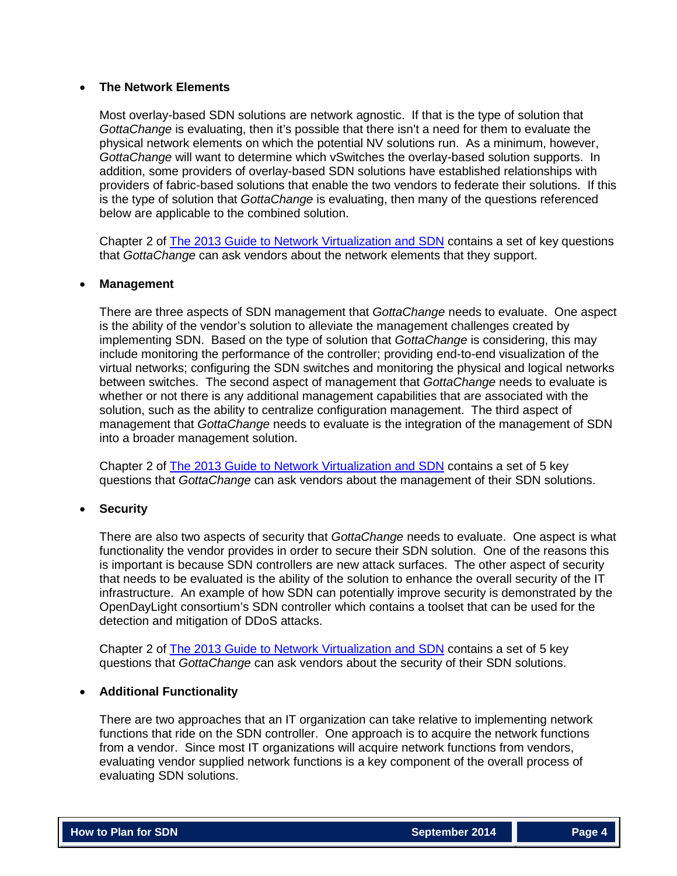#### • **The Network Elements**

Most overlay-based SDN solutions are network agnostic. If that is the type of solution that *GottaChange* is evaluating, then it's possible that there isn't a need for them to evaluate the physical network elements on which the potential NV solutions run. As a minimum, however, *GottaChange* will want to determine which vSwitches the overlay-based solution supports. In addition, some providers of overlay-based SDN solutions have established relationships with providers of fabric-based solutions that enable the two vendors to federate their solutions. If this is the type of solution that *GottaChange* is evaluating, then many of the questions referenced below are applicable to the combined solution.

Chapter 2 of [The 2013 Guide to Network Virtualization and SDN](http://www.webtorials.com/content/2014/01/2013-guide-to-network-virtualization-sdn-3.html) contains a set of key questions that *GottaChange* can ask vendors about the network elements that they support.

#### • **Management**

There are three aspects of SDN management that *GottaChange* needs to evaluate. One aspect is the ability of the vendor's solution to alleviate the management challenges created by implementing SDN. Based on the type of solution that *GottaChange* is considering, this may include monitoring the performance of the controller; providing end-to-end visualization of the virtual networks; configuring the SDN switches and monitoring the physical and logical networks between switches. The second aspect of management that *GottaChange* needs to evaluate is whether or not there is any additional management capabilities that are associated with the solution, such as the ability to centralize configuration management. The third aspect of management that *GottaChange* needs to evaluate is the integration of the management of SDN into a broader management solution.

Chapter 2 of [The 2013 Guide to Network Virtualization and SDN](http://www.webtorials.com/content/2014/01/2013-guide-to-network-virtualization-sdn-3.html) contains a set of 5 key questions that *GottaChange* can ask vendors about the management of their SDN solutions.

#### • **Security**

There are also two aspects of security that *GottaChange* needs to evaluate. One aspect is what functionality the vendor provides in order to secure their SDN solution. One of the reasons this is important is because SDN controllers are new attack surfaces. The other aspect of security that needs to be evaluated is the ability of the solution to enhance the overall security of the IT infrastructure. An example of how SDN can potentially improve security is demonstrated by the OpenDayLight consortium's SDN controller which contains a toolset that can be used for the detection and mitigation of DDoS attacks.

Chapter 2 of [The 2013 Guide to Network Virtualization and SDN](http://www.webtorials.com/content/2014/01/2013-guide-to-network-virtualization-sdn-3.html) contains a set of 5 key questions that *GottaChange* can ask vendors about the security of their SDN solutions.

#### • **Additional Functionality**

There are two approaches that an IT organization can take relative to implementing network functions that ride on the SDN controller. One approach is to acquire the network functions from a vendor. Since most IT organizations will acquire network functions from vendors, evaluating vendor supplied network functions is a key component of the overall process of evaluating SDN solutions.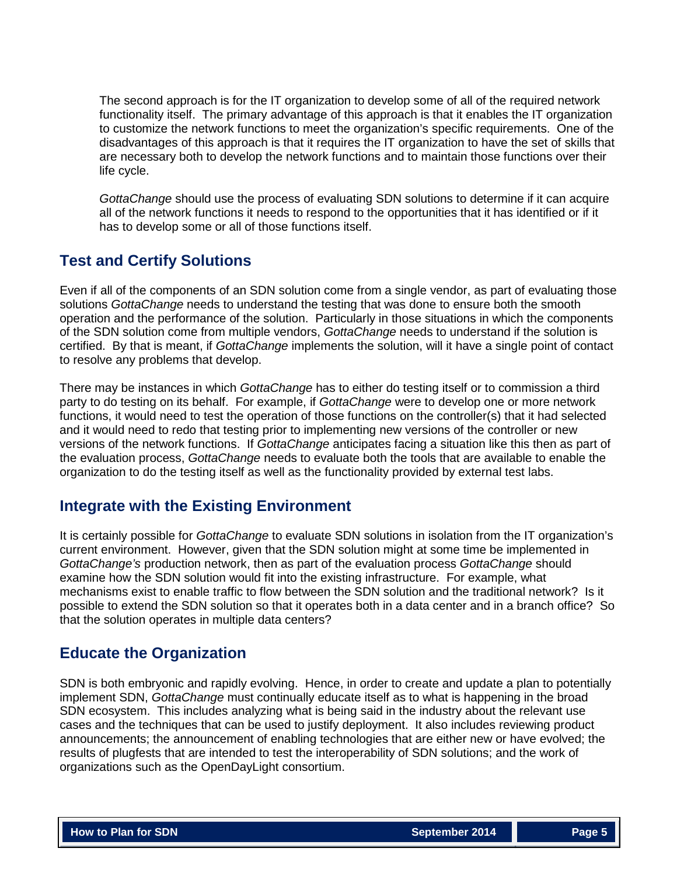The second approach is for the IT organization to develop some of all of the required network functionality itself. The primary advantage of this approach is that it enables the IT organization to customize the network functions to meet the organization's specific requirements. One of the disadvantages of this approach is that it requires the IT organization to have the set of skills that are necessary both to develop the network functions and to maintain those functions over their life cycle.

*GottaChange* should use the process of evaluating SDN solutions to determine if it can acquire all of the network functions it needs to respond to the opportunities that it has identified or if it has to develop some or all of those functions itself.

# **Test and Certify Solutions**

Even if all of the components of an SDN solution come from a single vendor, as part of evaluating those solutions *GottaChange* needs to understand the testing that was done to ensure both the smooth operation and the performance of the solution. Particularly in those situations in which the components of the SDN solution come from multiple vendors, *GottaChange* needs to understand if the solution is certified. By that is meant, if *GottaChange* implements the solution, will it have a single point of contact to resolve any problems that develop.

There may be instances in which *GottaChange* has to either do testing itself or to commission a third party to do testing on its behalf. For example, if *GottaChange* were to develop one or more network functions, it would need to test the operation of those functions on the controller(s) that it had selected and it would need to redo that testing prior to implementing new versions of the controller or new versions of the network functions. If *GottaChange* anticipates facing a situation like this then as part of the evaluation process, *GottaChange* needs to evaluate both the tools that are available to enable the organization to do the testing itself as well as the functionality provided by external test labs.

# **Integrate with the Existing Environment**

It is certainly possible for *GottaChange* to evaluate SDN solutions in isolation from the IT organization's current environment. However, given that the SDN solution might at some time be implemented in *GottaChange's* production network, then as part of the evaluation process *GottaChange* should examine how the SDN solution would fit into the existing infrastructure. For example, what mechanisms exist to enable traffic to flow between the SDN solution and the traditional network? Is it possible to extend the SDN solution so that it operates both in a data center and in a branch office? So that the solution operates in multiple data centers?

# **Educate the Organization**

SDN is both embryonic and rapidly evolving. Hence, in order to create and update a plan to potentially implement SDN, *GottaChange* must continually educate itself as to what is happening in the broad SDN ecosystem. This includes analyzing what is being said in the industry about the relevant use cases and the techniques that can be used to justify deployment. It also includes reviewing product announcements; the announcement of enabling technologies that are either new or have evolved; the results of plugfests that are intended to test the interoperability of SDN solutions; and the work of organizations such as the OpenDayLight consortium.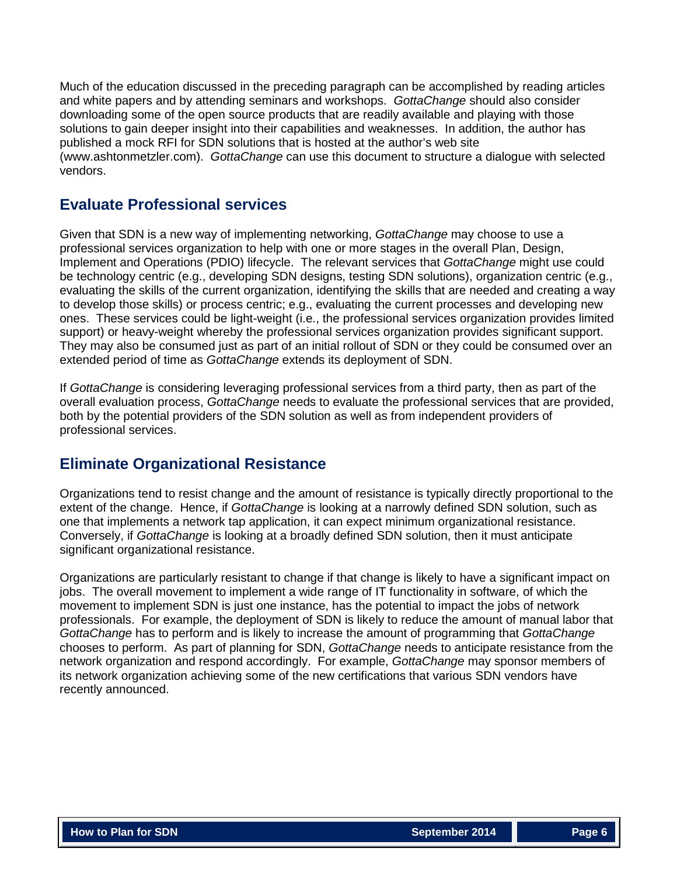Much of the education discussed in the preceding paragraph can be accomplished by reading articles and white papers and by attending seminars and workshops. *GottaChange* should also consider downloading some of the open source products that are readily available and playing with those solutions to gain deeper insight into their capabilities and weaknesses. In addition, the author has published a mock RFI for SDN solutions that is hosted at the author's web site (www.ashtonmetzler.com). *GottaChange* can use this document to structure a dialogue with selected vendors.

### **Evaluate Professional services**

Given that SDN is a new way of implementing networking, *GottaChange* may choose to use a professional services organization to help with one or more stages in the overall Plan, Design, Implement and Operations (PDIO) lifecycle. The relevant services that *GottaChange* might use could be technology centric (e.g., developing SDN designs, testing SDN solutions), organization centric (e.g., evaluating the skills of the current organization, identifying the skills that are needed and creating a way to develop those skills) or process centric; e.g., evaluating the current processes and developing new ones. These services could be light-weight (i.e., the professional services organization provides limited support) or heavy-weight whereby the professional services organization provides significant support. They may also be consumed just as part of an initial rollout of SDN or they could be consumed over an extended period of time as *GottaChange* extends its deployment of SDN.

If *GottaChange* is considering leveraging professional services from a third party, then as part of the overall evaluation process, *GottaChange* needs to evaluate the professional services that are provided, both by the potential providers of the SDN solution as well as from independent providers of professional services.

### **Eliminate Organizational Resistance**

Organizations tend to resist change and the amount of resistance is typically directly proportional to the extent of the change. Hence, if *GottaChange* is looking at a narrowly defined SDN solution, such as one that implements a network tap application, it can expect minimum organizational resistance. Conversely, if *GottaChange* is looking at a broadly defined SDN solution, then it must anticipate significant organizational resistance.

Organizations are particularly resistant to change if that change is likely to have a significant impact on jobs. The overall movement to implement a wide range of IT functionality in software, of which the movement to implement SDN is just one instance, has the potential to impact the jobs of network professionals. For example, the deployment of SDN is likely to reduce the amount of manual labor that *GottaChange* has to perform and is likely to increase the amount of programming that *GottaChange*  chooses to perform. As part of planning for SDN, *GottaChange* needs to anticipate resistance from the network organization and respond accordingly. For example, *GottaChange* may sponsor members of its network organization achieving some of the new certifications that various SDN vendors have recently announced.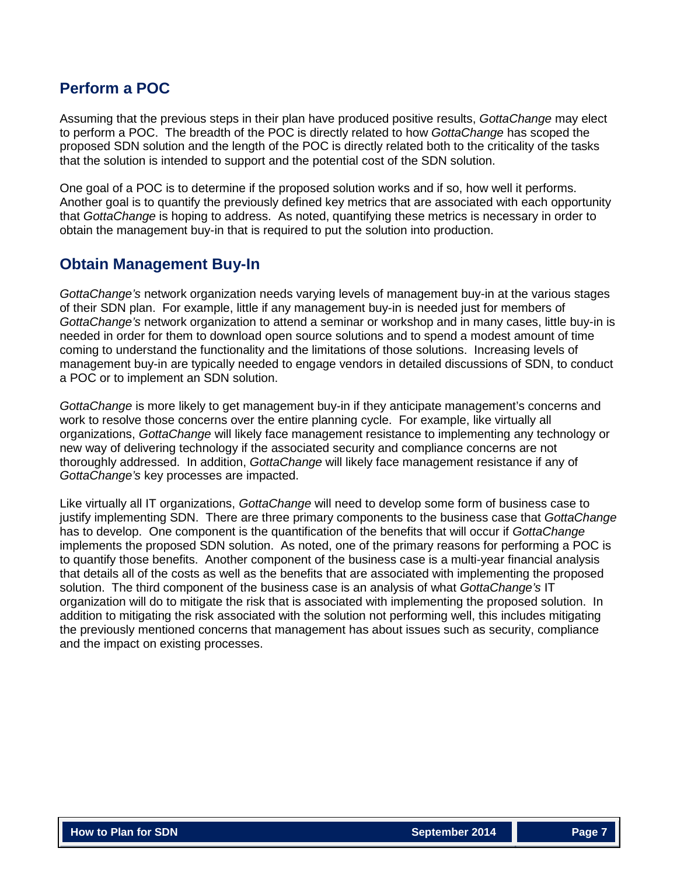### **Perform a POC**

Assuming that the previous steps in their plan have produced positive results, *GottaChange* may elect to perform a POC. The breadth of the POC is directly related to how *GottaChange* has scoped the proposed SDN solution and the length of the POC is directly related both to the criticality of the tasks that the solution is intended to support and the potential cost of the SDN solution.

One goal of a POC is to determine if the proposed solution works and if so, how well it performs. Another goal is to quantify the previously defined key metrics that are associated with each opportunity that *GottaChange* is hoping to address. As noted, quantifying these metrics is necessary in order to obtain the management buy-in that is required to put the solution into production.

### **Obtain Management Buy-In**

*GottaChange's* network organization needs varying levels of management buy-in at the various stages of their SDN plan. For example, little if any management buy-in is needed just for members of *GottaChange's* network organization to attend a seminar or workshop and in many cases, little buy-in is needed in order for them to download open source solutions and to spend a modest amount of time coming to understand the functionality and the limitations of those solutions. Increasing levels of management buy-in are typically needed to engage vendors in detailed discussions of SDN, to conduct a POC or to implement an SDN solution.

*GottaChange* is more likely to get management buy-in if they anticipate management's concerns and work to resolve those concerns over the entire planning cycle. For example, like virtually all organizations, *GottaChange* will likely face management resistance to implementing any technology or new way of delivering technology if the associated security and compliance concerns are not thoroughly addressed. In addition, *GottaChange* will likely face management resistance if any of *GottaChange's* key processes are impacted.

Like virtually all IT organizations, *GottaChange* will need to develop some form of business case to justify implementing SDN. There are three primary components to the business case that *GottaChange*  has to develop. One component is the quantification of the benefits that will occur if *GottaChange*  implements the proposed SDN solution. As noted, one of the primary reasons for performing a POC is to quantify those benefits. Another component of the business case is a multi-year financial analysis that details all of the costs as well as the benefits that are associated with implementing the proposed solution. The third component of the business case is an analysis of what *GottaChange's* IT organization will do to mitigate the risk that is associated with implementing the proposed solution. In addition to mitigating the risk associated with the solution not performing well, this includes mitigating the previously mentioned concerns that management has about issues such as security, compliance and the impact on existing processes.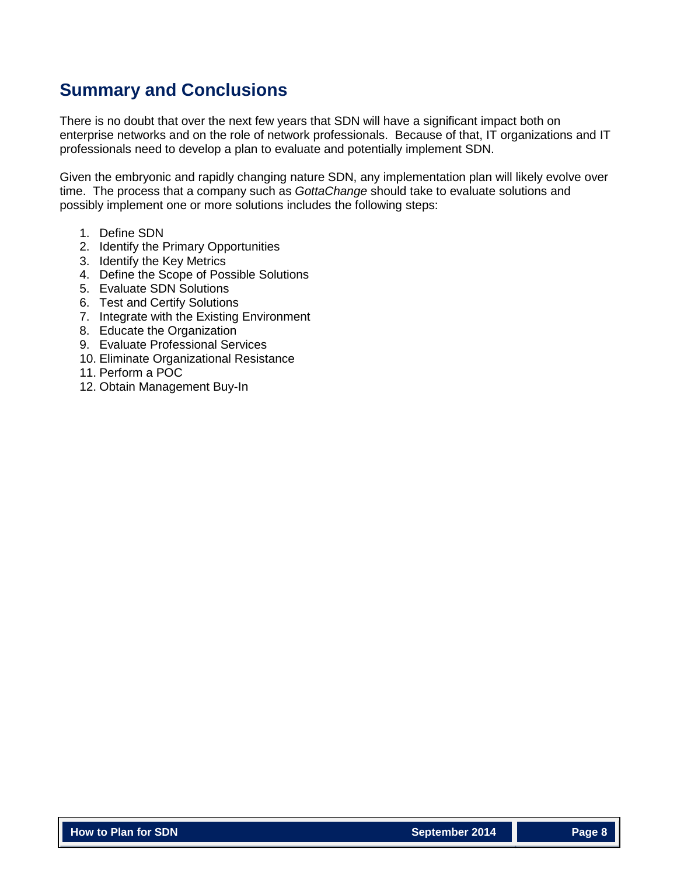# **Summary and Conclusions**

There is no doubt that over the next few years that SDN will have a significant impact both on enterprise networks and on the role of network professionals. Because of that, IT organizations and IT professionals need to develop a plan to evaluate and potentially implement SDN.

Given the embryonic and rapidly changing nature SDN, any implementation plan will likely evolve over time. The process that a company such as *GottaChange* should take to evaluate solutions and possibly implement one or more solutions includes the following steps:

- 1. Define SDN
- 2. Identify the Primary Opportunities
- 3. Identify the Key Metrics
- 4. Define the Scope of Possible Solutions
- 5. Evaluate SDN Solutions
- 6. Test and Certify Solutions
- 7. Integrate with the Existing Environment
- 8. Educate the Organization
- 9. Evaluate Professional Services
- 10. Eliminate Organizational Resistance
- 11. Perform a POC
- 12. Obtain Management Buy-In